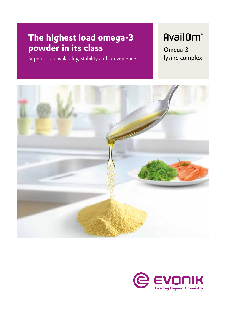## **The highest load omega-3 powder in its class**

Superior bioavailability, stability and convenience

## **AvailOm®**

Omega-3 lysine complex



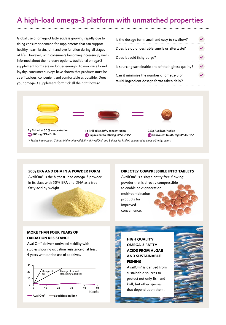## A high-load omega-3 platform with unmatched properties

Global use of omega-3 fatty acids is growing rapidly due to rising consumer demand for supplements that can support healthy heart, brain, joint and eye function during all stages of life. However, with consumers becoming increasingly wellinformed about their dietary options, traditional omega-3 supplement forms are no longer enough. To maximize brand loyalty, consumer surveys have shown that products must be as efficacious, convenient and comfortable as possible. Does your omega-3 supplement form tick all the right boxes?

| Is the dosage form small and easy to swallow?                                          |  |
|----------------------------------------------------------------------------------------|--|
| Does it stop undesirable smells or aftertaste?                                         |  |
| Does it avoid fishy burps?                                                             |  |
| Is sourcing sustainable and of the highest quality?                                    |  |
| Can it minimize the number of omega-3 or<br>multi-ingredient dosage forms taken daily? |  |



*\* Taking into account 5 times higher bioavailability of AvailOm® and 3 times for krill oil compared to omega-3 ethyl esters.*

#### **50% EPA AND DHA IN A POWDER FORM**

AvailOm® is the highest-load omega-3 powder in its class with 50% EPA and DHA as a free fatty acid by weight.



#### **DIRECTLY COMPRESSIBLE INTO TABLETS**

AvailOm® is a single entity free-flowing powder that is directly compressible to enable next generation multi-combination products for improved convenience.

#### **MORE THAN FOUR YEARS OF OXIDATION RESISTANCE**

AvailOm® delivers unrivaled stability with studies showing oxidation resistance of at least 4 years without the use of additives.



### **HIGH QUALITY OMEGA-3 FATTY ACIDS FROM ALGAE AND SUSTAINABLE FISHING**

AvailOm® is derived from sustainable sources to protect not only fish and krill, but other species that depend upon them.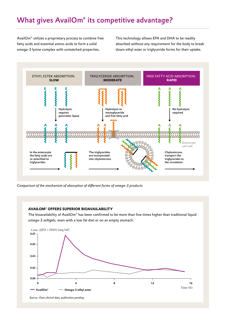## What gives AvailOm® its competitive advantage?

AvailOm® utilizes a proprietary process to combine free fatty acids and essential amino acids to form a solid omega-3 lysine complex with unmatched properties.

This technology allows EPA and DHA to be readily absorbed without any requirement for the body to break down ethyl ester or triglyceride forms for their uptake.



*Comparison of the mechanism of absorption of different forms of omega-3 products*

#### **AVAILOM® OFFERS SUPERIOR BIOAVAILABILITY**

The bioavailability of AvailOm® has been confirmed to be more than five times higher than traditional liquid omega-3 softgels, even with a low fat diet or on an empty stomach.



*Source: Own clinical data, publication pending*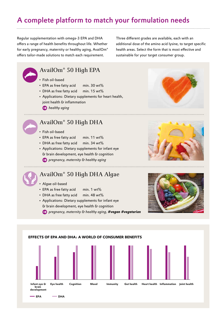## A complete platform to match your formulation needs

Regular supplementation with omega-3 EPA and DHA offers a range of health benefits throughout life. Whether for early pregnancy, maternity or healthy aging, AvailOm® offers tailor-made solutions to match each requirement.

Three different grades are available, each with an additional dose of the amino acid lysine, to target specific health areas. Select the form that is most effective and sustainable for your target consumer group.

# AvailOm® 50 High EPA

- Fish oil-based
- EPA as free fatty acid min. 30 wt%
- DHA as free fatty acid min. 15 wt%
- Applications: Dietary supplements for heart health, joint health & inflammation
	- *healthy aging*

## AvailOm® 50 High DHA

- Fish oil-based
- EPA as free fatty acid min. 11 wt%
- DHA as free fatty acid min. 34 wt%
- Applications: Dietary supplements for infant eye & brain development, eye health & cognition
	- *pregnancy, maternity & healthy aging*

## AvailOm® 50 High DHA Algae

- Algae oil-based
- $\cdot$  EPA as free fatty acid min. 1 wt%
- DHA as free fatty acid min. 48 wt%
- Applications: Dietary supplements for infant eye & brain development, eye health & cognition

 *pregnancy, maternity & healthy aging, #vegan #vegetarian*

# **EFFECTS OF EPA AND DHA: A WORLD OF CONSUMER BENEFITS**

**Infant eye & Eye health Cognition Mood Immunity Gut health Heart health Inflammation Joint health**

**brain development**

**EPA DHA**





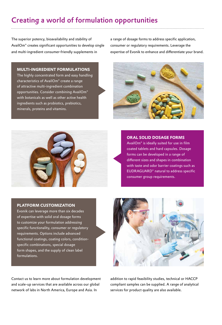## Creating a world of formulation opportunities

The superior potency, bioavailability and stability of AvailOm® creates significant opportunities to develop single and multi-ingredient consumer-friendly supplements in

a range of dosage forms to address specific application, consumer or regulatory requirements. Leverage the expertise of Evonik to enhance and differentiate your brand.

#### **MULTI-INGREDIENT FORMULATIONS**

The highly concentrated form and easy handling characteristics of AvailOm® create a range of attractive multi-ingredient combination opportunities. Consider combining AvailOm® with botanicals as well as other active health ingredients such as probiotics, prebiotics, minerals, proteins and vitamins.





#### **ORAL SOLID DOSAGE FORMS**

AvailOm® is ideally suited for use in film coated tablets and hard capsules. Dosage forms can be developed in a range of different sizes and shapes in combination with taste and odor barrier coatings such as EUDRAGUARD® natural to address specific consumer group requirements.

#### **PLATFORM CUSTOMIZATION**

Evonik can leverage more than six decades of expertise with solid oral dosage forms to customize your formulation addressing specific functionality, consumer or regulatory requirements. Options include advanced functional coatings, coating colors, conditionspecific combinations, special dosage form shapes, and the supply of clean label formulations.



Contact us to learn more about formulation development and scale-up services that are available across our global network of labs in North America, Europe and Asia. In

addition to rapid feasibility studies, technical or HACCP compliant samples can be supplied. A range of analytical services for product quality are also available.